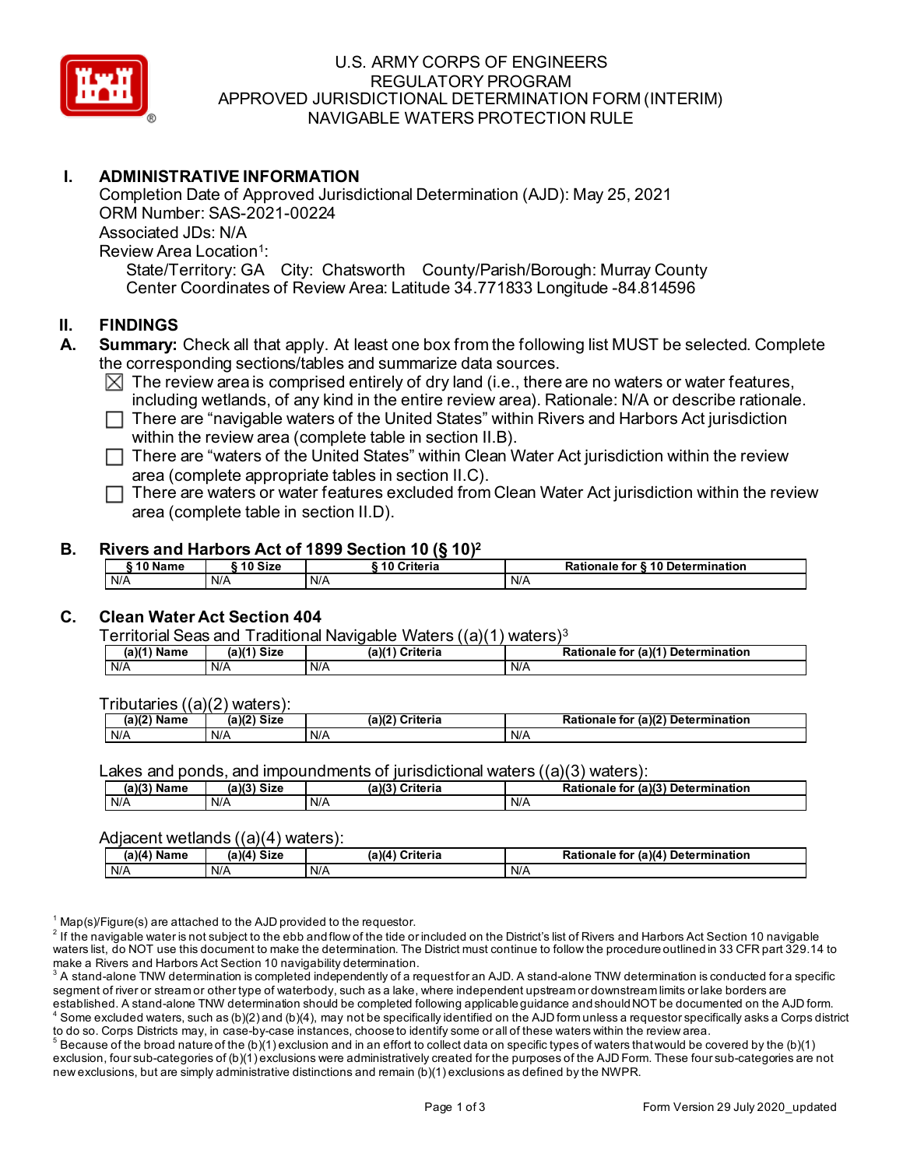

#### U.S. ARMY CORPS OF ENGINEERS REGULATORY PROGRAM APPROVED JURISDICTIONAL DETERMINATION FORM (INTERIM) NAVIGABLE WATERS PROTECTION RULE

### **I. ADMINISTRATIVE INFORMATION**

 State/Territory: GA City: Chatsworth County/Parish/Borough: Murray County Completion Date of Approved Jurisdictional Determination (AJD): May 25, 2021 ORM Number: SAS-2021-00224 Associated JDs: N/A Review Area Location<sup>1</sup>:

Center Coordinates of Review Area: Latitude 34.771833 Longitude -84.814596

#### **II. FINDINGS**

- **A. Summary:** Check all that apply. At least one box from the following list MUST be selected. Complete the corresponding sections/tables and summarize data sources.
	- $\boxtimes$  The review area is comprised entirely of dry land (i.e., there are no waters or water features, including wetlands, of any kind in the entire review area). Rationale: N/A or describe rationale.

□ There are "navigable waters of the United States" within Rivers and Harbors Act jurisdiction within the review area (complete table in section II.B).

 $\Box$  There are "waters of the United States" within Clean Water Act jurisdiction within the review  $\Box$ area (complete appropriate tables in section II.C).

□ There are waters or water features excluded from Clean Water Act jurisdiction within the review<br>cree (complete teble in costion II D) area (complete table in section II.D).

#### **B. Rivers and Harbors Act of 1899 Section 10 (§ 10)2**

| ` 10 Name | ົ 10 Size | ` 10 Criteria | Rationale for § 10 Determination |
|-----------|-----------|---------------|----------------------------------|
| N/A       | N/A       | N/A           | N/A                              |

## **C. Clean Water Act Section 404**

Territorial Seas and Traditional Navigable Waters ((a)(1) waters)3

| (a)(1) | $(a)(1)$ Size | $(a)^{(4)}$ | (a)(1) Determination |
|--------|---------------|-------------|----------------------|
| Name   |               | Criteria    | <b>Rationale for</b> |
| N/A    | N/A           | N/L         | N/A                  |

Tributaries ((a)(2) waters):

| (a)(2)<br>Name | $\sqrt{2}$<br>Size<br>(a<br>и. | ເ)(2)<br>Nulda ula<br>riteria | . (a) $(2^{\circ})$<br><b>Detern</b><br>$\sim$ $\sim$<br>п.<br>mination<br>-----<br>া০৷<br>tionale<br>κa |
|----------------|--------------------------------|-------------------------------|----------------------------------------------------------------------------------------------------------|
| N/A            | N/A                            | N/A                           | $N/\ell$                                                                                                 |

Lakes and ponds, and impoundments of jurisdictional waters  $((a)(3)$  waters):

| $(a)(3)$ Name | $(a)(3)$ Size | (a)(3)<br>Criteria | Rationale for (a)(3) Determination |
|---------------|---------------|--------------------|------------------------------------|
| N/A           | N/A           | N/A                | N/A                                |

#### Adjacent wetlands ((a)(4) waters):

| (a)(4) Name | ' Size<br>(a)(a) | (a)(4) Criteria | (a)(4) Determination<br>Rationale<br>for |
|-------------|------------------|-----------------|------------------------------------------|
| N/A         | N/A              | N/A             | N/A                                      |

 $1$  Map(s)/Figure(s) are attached to the AJD provided to the requestor.

 waters list, do NOT use this document to make the determination. The District must continue to follow the procedure outlined in 33 CFR part 329.14 to  $2$  If the navigable water is not subject to the ebb and flow of the tide or included on the District's list of Rivers and Harbors Act Section 10 navigable make a Rivers and Harbors Act Section 10 navigability determination.

 segment of river or stream or other type of waterbody, such as a lake, where independent upstream or downstream limits or lake borders are <sup>3</sup> A stand-alone TNW determination is completed independently of a request for an AJD. A stand-alone TNW determination is conducted for a specific established. A stand-alone TNW determination should be completed following applicable guidance and should NOT be documented on the AJD form.

 $^4$  Some excluded waters, such as (b)(2) and (b)(4), may not be specifically identified on the AJD form unless a requestor specifically asks a Corps district to do so. Corps Districts may, in case-by-case instances, choose to identify some or all of these waters within the review area.<br><sup>5</sup> Because of the broad nature of the (b)(1) exclusion and in an effort to collect data on s

exclusion, four sub-categories of (b)(1) exclusions were administratively created for the purposes of the AJD Form. These four sub-categories are not new exclusions, but are simply administrative distinctions and remain (b)(1) exclusions as defined by the NWPR.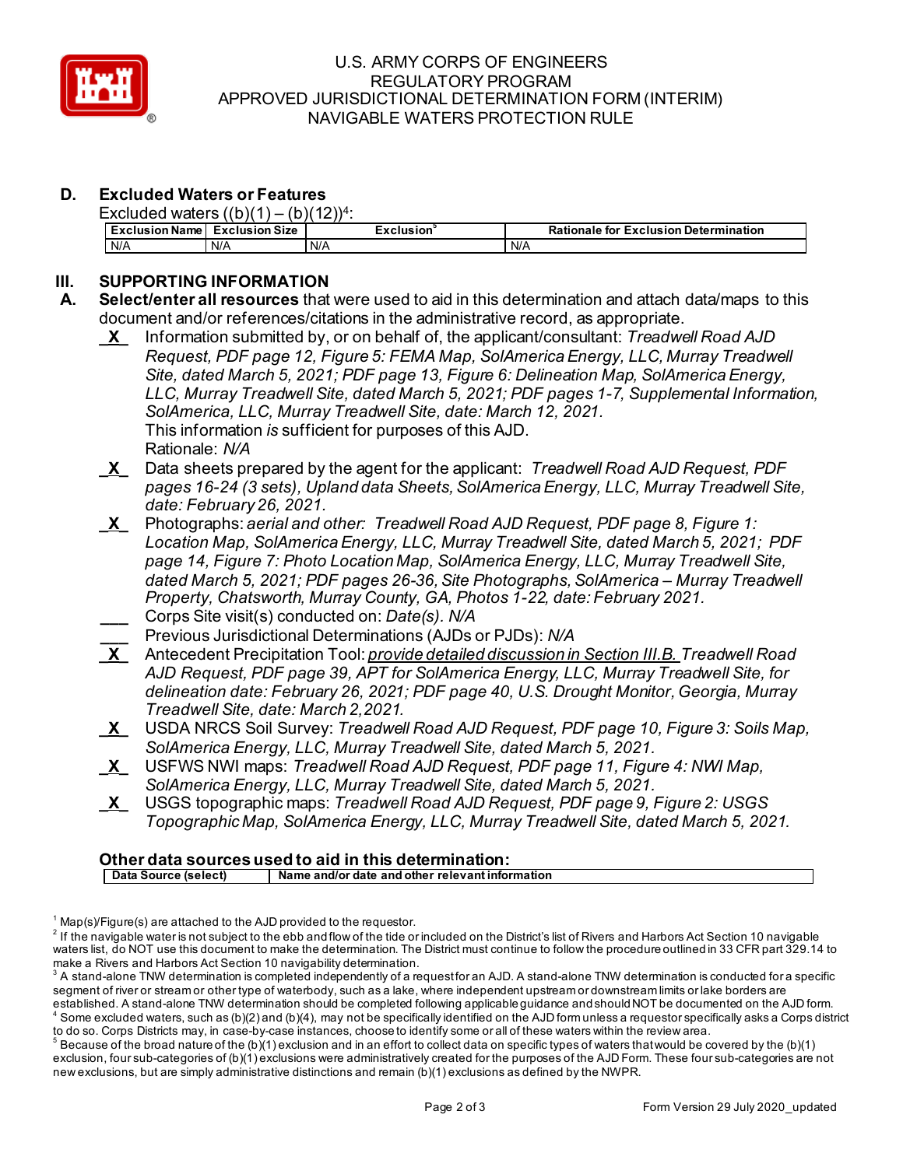

#### U.S. ARMY CORPS OF ENGINEERS REGULATORY PROGRAM APPROVED JURISDICTIONAL DETERMINATION FORM (INTERIM) NAVIGABLE WATERS PROTECTION RULE

# **D. Excluded Waters or Features**

Excluded waters  $((h)(1) - (h)(12))4$ .

| -voludea<br>walci 311 D II<br>1 N J I |                       |                  |                                              |
|---------------------------------------|-----------------------|------------------|----------------------------------------------|
| . .<br>Exclusion Name                 | <b>Exclusion Size</b> | <b>Exclusion</b> | <b>Rationale for Exclusion Determination</b> |
| N/A                                   | N/A                   | N/A              | N/A                                          |

# **III.** SUPPORTING INFORMATION<br>A. Select/enterall resources that

- **A. Select/enter all resources** that were used to aid in this determination and attach data/maps to this document and/or references/citations in the administrative record, as appropriate.
	- This information *is* sufficient for purposes of this AJD. **\_X\_** Information submitted by, or on behalf of, the applicant/consultant: *Treadwell Road AJD Request, PDF page 12, Figure 5: FEMA Map, SolAmerica Energy, LLC, Murray Treadwell Site, dated March 5, 2021; PDF page 13, Figure 6: Delineation Map, SolAmerica Energy, LLC, Murray Treadwell Site, dated March 5, 2021; PDF pages 1-7, Supplemental Information, SolAmerica, LLC, Murray Treadwell Site, date: March 12, 2021.*  Rationale: *N/A*
	- **\_X\_** Data sheets prepared by the agent for the applicant: *Treadwell Road AJD Request, PDF pages 16-24 (3 sets), Upland data Sheets, SolAmerica Energy, LLC, Murray Treadwell Site, date: February 26, 2021.*
	- *Location Map, SolAmerica Energy, LLC, Murray Treadwell Site, dated March 5, 2021; PDF*  **\_X\_** Photographs: *aerial and other: Treadwell Road AJD Request, PDF page 8, Figure 1: page 14, Figure 7: Photo Location Map, SolAmerica Energy, LLC, Murray Treadwell Site, dated March 5, 2021; PDF pages 26-36, Site Photographs, SolAmerica – Murray Treadwell Property, Chatsworth, Murray County, GA, Photos 1-22, date: February 2021.*  **\_\_\_** Corps Site visit(s) conducted on: *Date(s). N/A*
	- **\_\_\_** Previous Jurisdictional Determinations (AJDs or PJDs): *N/A*
	- **\_X\_** Antecedent Precipitation Tool: *provide detailed discussion in Section III.B. Treadwell Road AJD Request, PDF page 39, APT for SolAmerica Energy, LLC, Murray Treadwell Site, for delineation date: February 26, 2021; PDF page 40, U.S. Drought Monitor, Georgia, Murray Treadwell Site, date: March 2,2021.*
	- **\_X\_** USDA NRCS Soil Survey: *Treadwell Road AJD Request, PDF page 10, Figure 3: Soils Map, SolAmerica Energy, LLC, Murray Treadwell Site, dated March 5, 2021.*
	- **\_X\_** USFWS NWI maps: *Treadwell Road AJD Request, PDF page 11, Figure 4: NWI Map, SolAmerica Energy, LLC, Murray Treadwell Site, dated March 5, 2021.*
	- **\_X\_** USGS topographic maps: *Treadwell Road AJD Request, PDF page 9, Figure 2: USGS Topographic Map, SolAmerica Energy, LLC, Murray Treadwell Site, dated March 5, 2021.*

## **Other data sources used to aid in this determination:**

 **Data Source (select) Name and/or date and other relevant information** 

 $1$  Map(s)/Figure(s) are attached to the AJD provided to the requestor.

 waters list, do NOT use this document to make the determination. The District must continue to follow the procedure outlined in 33 CFR part 329.14 to  $2$  If the navigable water is not subject to the ebb and flow of the tide or included on the District's list of Rivers and Harbors Act Section 10 navigable make a Rivers and Harbors Act Section 10 navigability determination.

 segment of river or stream or other type of waterbody, such as a lake, where independent upstream or downstream limits or lake borders are  $^{\rm 3}$  A stand-alone TNW determination is completed independently of a request for an AJD. A stand-alone TNW determination is conducted for a specific established. A stand-alone TNW determination should be completed following applicable guidance and should NOT be documented on the AJD form.

 $^4$  Some excluded waters, such as (b)(2) and (b)(4), may not be specifically identified on the AJD form unless a requestor specifically asks a Corps district to do so. Corps Districts may, in case-by-case instances, choose to identify some or all of these waters within the review area.<br><sup>5</sup> Because of the broad nature of the (b)(1) exclusion and in an effort to collect data on s

exclusion, four sub-categories of (b)(1) exclusions were administratively created for the purposes of the AJD Form. These four sub-categories are not new exclusions, but are simply administrative distinctions and remain (b)(1) exclusions as defined by the NWPR.